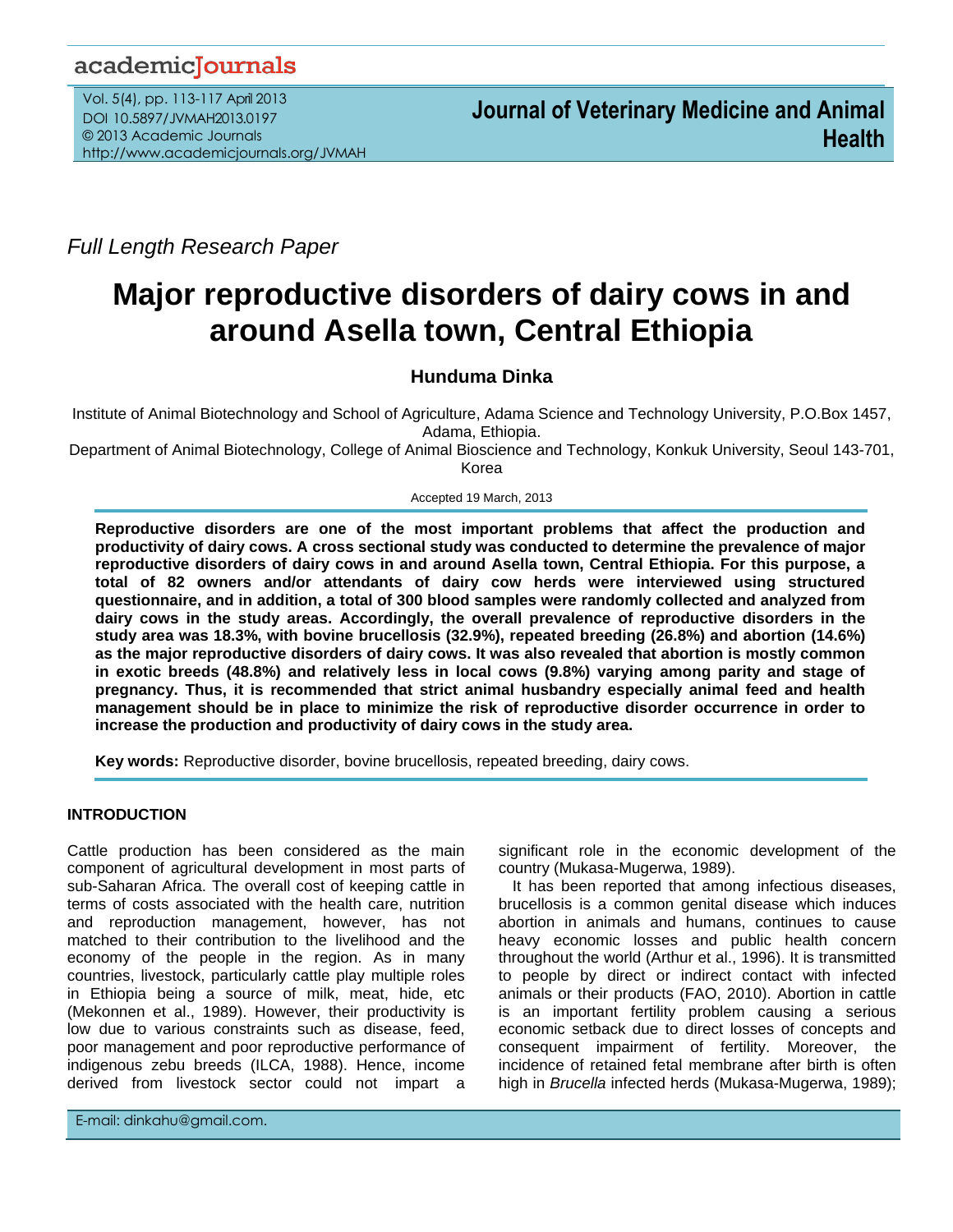## academicJournals

Vol. 5(4), pp. 113-117 April 2013 DOI 10.5897/JVMAH2013.0197 © 2013 Academic Journals http://www.academicjournals.org/JVMAH

*Full Length Research Paper*

# **Major reproductive disorders of dairy cows in and around Asella town, Central Ethiopia**

## **Hunduma Dinka**

Institute of Animal Biotechnology and School of Agriculture, Adama Science and Technology University, P.O.Box 1457, Adama, Ethiopia.

Department of Animal Biotechnology, College of Animal Bioscience and Technology, Konkuk University, Seoul 143-701, Korea

Accepted 19 March, 2013

**Reproductive disorders are one of the most important problems that affect the production and productivity of dairy cows. A cross sectional study was conducted to determine the prevalence of major reproductive disorders of dairy cows in and around Asella town, Central Ethiopia. For this purpose, a total of 82 owners and/or attendants of dairy cow herds were interviewed using structured questionnaire, and in addition, a total of 300 blood samples were randomly collected and analyzed from dairy cows in the study areas. Accordingly, the overall prevalence of reproductive disorders in the study area was 18.3%, with bovine brucellosis (32.9%), repeated breeding (26.8%) and abortion (14.6%) as the major reproductive disorders of dairy cows. It was also revealed that abortion is mostly common in exotic breeds (48.8%) and relatively less in local cows (9.8%) varying among parity and stage of pregnancy. Thus, it is recommended that strict animal husbandry especially animal feed and health management should be in place to minimize the risk of reproductive disorder occurrence in order to increase the production and productivity of dairy cows in the study area.**

**Key words:** Reproductive disorder, bovine brucellosis, repeated breeding, dairy cows.

### **INTRODUCTION**

Cattle production has been considered as the main component of agricultural development in most parts of sub-Saharan Africa. The overall cost of keeping cattle in terms of costs associated with the health care, nutrition and reproduction management, however, has not matched to their contribution to the livelihood and the economy of the people in the region. As in many countries, livestock, particularly cattle play multiple roles in Ethiopia being a source of milk, meat, hide, etc (Mekonnen et al., 1989). However, their productivity is low due to various constraints such as disease, feed, poor management and poor reproductive performance of indigenous zebu breeds (ILCA, 1988). Hence, income derived from livestock sector could not impart a

E-mail: dinkahu@gmail.com.

significant role in the economic development of the country (Mukasa-Mugerwa, 1989).

It has been reported that among infectious diseases, brucellosis is a common genital disease which induces abortion in animals and humans, continues to cause heavy economic losses and public health concern throughout the world (Arthur et al., 1996). It is transmitted to people by direct or indirect contact with infected animals or their products (FAO, 2010). Abortion in cattle is an important fertility problem causing a serious economic setback due to direct losses of concepts and consequent impairment of fertility. Moreover, the incidence of retained fetal membrane after birth is often high in *Brucella* infected herds (Mukasa-Mugerwa, 1989);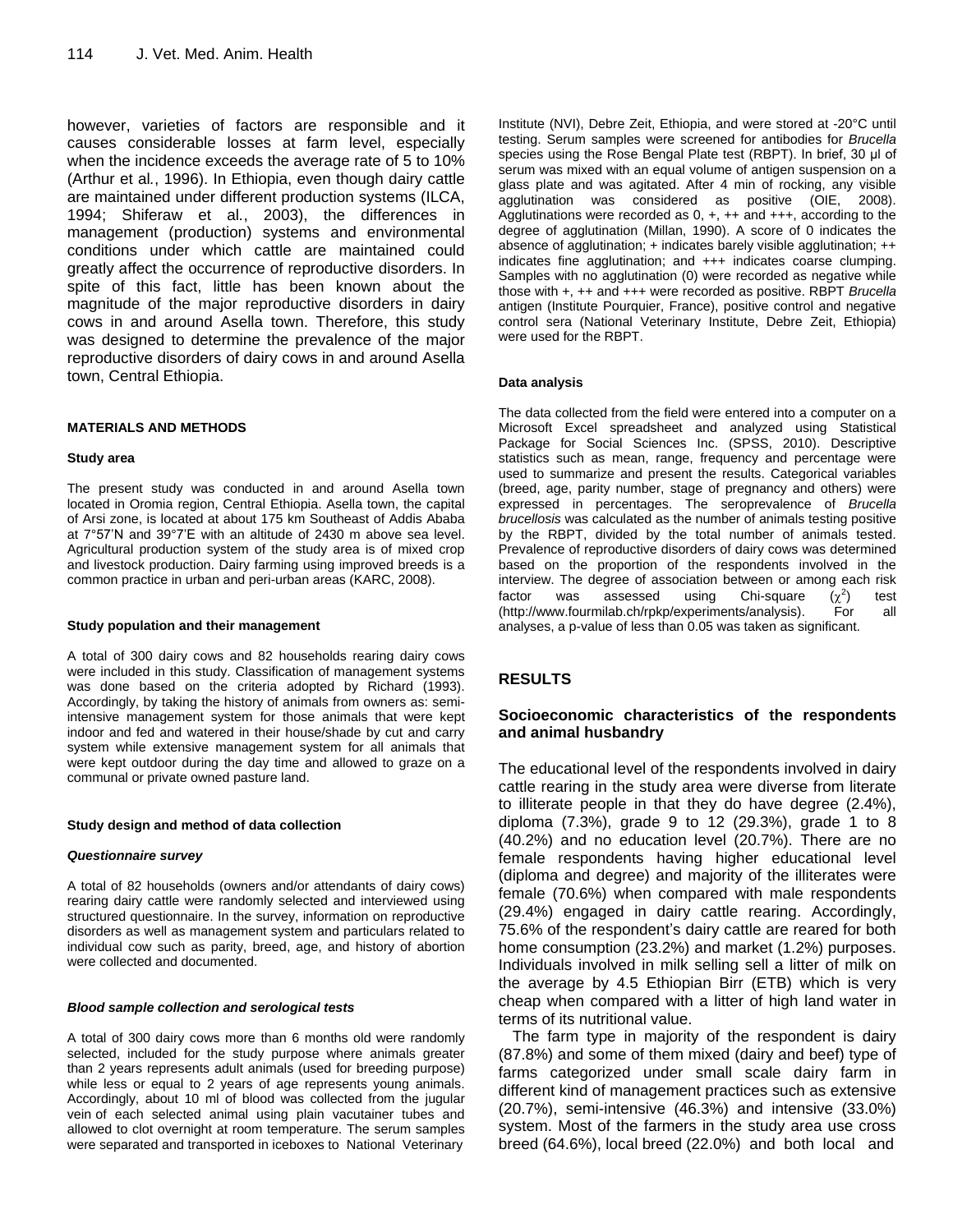however, varieties of factors are responsible and it causes considerable losses at farm level, especially when the incidence exceeds the average rate of 5 to 10% (Arthur et al*.*, 1996). In Ethiopia, even though dairy cattle are maintained under different production systems (ILCA, 1994; Shiferaw et al*.*, 2003), the differences in management (production) systems and environmental conditions under which cattle are maintained could greatly affect the occurrence of reproductive disorders. In spite of this fact, little has been known about the magnitude of the major reproductive disorders in dairy cows in and around Asella town. Therefore, this study was designed to determine the prevalence of the major reproductive disorders of dairy cows in and around Asella town, Central Ethiopia.

#### **MATERIALS AND METHODS**

#### **Study area**

The present study was conducted in and around Asella town located in Oromia region, Central Ethiopia. Asella town, the capital of Arsi zone, is located at about 175 km Southeast of Addis Ababa at 7°57'N and 39°7'E with an altitude of 2430 m above sea level. Agricultural production system of the study area is of mixed crop and livestock production. Dairy farming using improved breeds is a common practice in urban and peri-urban areas (KARC, 2008).

#### **Study population and their management**

A total of 300 dairy cows and 82 households rearing dairy cows were included in this study. Classification of management systems was done based on the criteria adopted by Richard (1993). Accordingly, by taking the history of animals from owners as: semiintensive management system for those animals that were kept indoor and fed and watered in their house/shade by cut and carry system while extensive management system for all animals that were kept outdoor during the day time and allowed to graze on a communal or private owned pasture land.

#### **Study design and method of data collection**

#### *Questionnaire survey*

A total of 82 households (owners and/or attendants of dairy cows) rearing dairy cattle were randomly selected and interviewed using structured questionnaire. In the survey, information on reproductive disorders as well as management system and particulars related to individual cow such as parity, breed, age, and history of abortion were collected and documented.

#### *Blood sample collection and serological tests*

A total of 300 dairy cows more than 6 months old were randomly selected, included for the study purpose where animals greater than 2 years represents adult animals (used for breeding purpose) while less or equal to 2 years of age represents young animals. Accordingly, about 10 ml of blood was collected from the jugular vein of each selected animal using plain vacutainer tubes and allowed to clot overnight at room temperature. The serum samples were separated and transported in iceboxes to National Veterinary

Institute (NVI), Debre Zeit, Ethiopia, and were stored at -20°C until testing. Serum samples were screened for antibodies for *Brucella* species using the Rose Bengal Plate test (RBPT). In brief, 30 μl of serum was mixed with an equal volume of antigen suspension on a glass plate and was agitated. After 4 min of rocking, any visible agglutination was considered as positive (OIE, 2008). Agglutinations were recorded as  $0, +$ ,  $++$  and  $+++$ , according to the degree of agglutination (Millan, 1990). A score of 0 indicates the absence of agglutination; + indicates barely visible agglutination; ++ indicates fine agglutination; and +++ indicates coarse clumping. Samples with no agglutination (0) were recorded as negative while those with +, ++ and +++ were recorded as positive. RBPT *Brucella* antigen (Institute Pourquier, France), positive control and negative control sera (National Veterinary Institute, Debre Zeit, Ethiopia) were used for the RBPT.

#### **Data analysis**

The data collected from the field were entered into a computer on a Microsoft Excel spreadsheet and analyzed using Statistical Package for Social Sciences Inc. (SPSS, 2010). Descriptive statistics such as mean, range, frequency and percentage were used to summarize and present the results. Categorical variables (breed, age, parity number, stage of pregnancy and others) were expressed in percentages. The seroprevalence of *Brucella brucellosis* was calculated as the number of animals testing positive by the RBPT, divided by the total number of animals tested. Prevalence of reproductive disorders of dairy cows was determined based on the proportion of the respondents involved in the interview. The degree of association between or among each risk factor was assessed using Chi-square  $(\chi^2)$ ) test [\(http://www.fourmilab.ch/rpkp/experiments/analysis\)](http://www.fourmilab.ch/rpkp/experiments/analysis). For all analyses, a p-value of less than 0.05 was taken as significant.

#### **RESULTS**

#### **Socioeconomic characteristics of the respondents and animal husbandry**

The educational level of the respondents involved in dairy cattle rearing in the study area were diverse from literate to illiterate people in that they do have degree (2.4%), diploma (7.3%), grade 9 to 12 (29.3%), grade 1 to 8 (40.2%) and no education level (20.7%). There are no female respondents having higher educational level (diploma and degree) and majority of the illiterates were female (70.6%) when compared with male respondents (29.4%) engaged in dairy cattle rearing. Accordingly, 75.6% of the respondent's dairy cattle are reared for both home consumption (23.2%) and market (1.2%) purposes. Individuals involved in milk selling sell a litter of milk on the average by 4.5 Ethiopian Birr (ETB) which is very cheap when compared with a litter of high land water in terms of its nutritional value.

The farm type in majority of the respondent is dairy (87.8%) and some of them mixed (dairy and beef) type of farms categorized under small scale dairy farm in different kind of management practices such as extensive (20.7%), semi-intensive (46.3%) and intensive (33.0%) system. Most of the farmers in the study area use cross breed (64.6%), local breed (22.0%) and both local and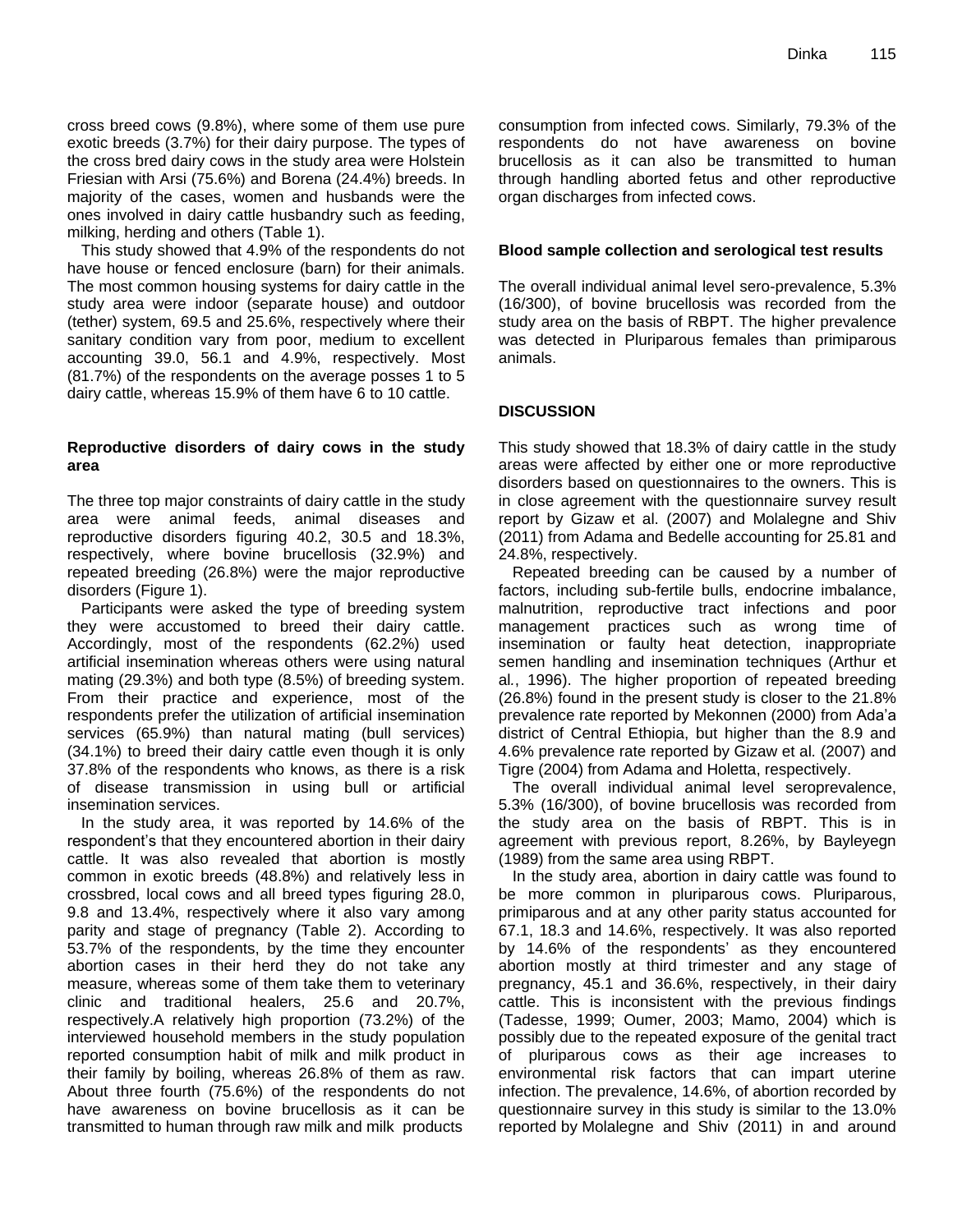cross breed cows (9.8%), where some of them use pure exotic breeds (3.7%) for their dairy purpose. The types of the cross bred dairy cows in the study area were Holstein Friesian with Arsi (75.6%) and Borena (24.4%) breeds. In majority of the cases, women and husbands were the ones involved in dairy cattle husbandry such as feeding, milking, herding and others (Table 1).

This study showed that 4.9% of the respondents do not have house or fenced enclosure (barn) for their animals. The most common housing systems for dairy cattle in the study area were indoor (separate house) and outdoor (tether) system, 69.5 and 25.6%, respectively where their sanitary condition vary from poor, medium to excellent accounting 39.0, 56.1 and 4.9%, respectively. Most (81.7%) of the respondents on the average posses 1 to 5 dairy cattle, whereas 15.9% of them have 6 to 10 cattle.

#### **Reproductive disorders of dairy cows in the study area**

The three top major constraints of dairy cattle in the study area were animal feeds, animal diseases and reproductive disorders figuring 40.2, 30.5 and 18.3%, respectively, where bovine brucellosis (32.9%) and repeated breeding (26.8%) were the major reproductive disorders (Figure 1).

Participants were asked the type of breeding system they were accustomed to breed their dairy cattle. Accordingly, most of the respondents (62.2%) used artificial insemination whereas others were using natural mating (29.3%) and both type (8.5%) of breeding system. From their practice and experience, most of the respondents prefer the utilization of artificial insemination services (65.9%) than natural mating (bull services) (34.1%) to breed their dairy cattle even though it is only 37.8% of the respondents who knows, as there is a risk of disease transmission in using bull or artificial insemination services.

In the study area, it was reported by 14.6% of the respondent's that they encountered abortion in their dairy cattle. It was also revealed that abortion is mostly common in exotic breeds (48.8%) and relatively less in crossbred, local cows and all breed types figuring 28.0, 9.8 and 13.4%, respectively where it also vary among parity and stage of pregnancy (Table 2). According to 53.7% of the respondents, by the time they encounter abortion cases in their herd they do not take any measure, whereas some of them take them to veterinary clinic and traditional healers, 25.6 and 20.7%, respectively.A relatively high proportion (73.2%) of the interviewed household members in the study population reported consumption habit of milk and milk product in their family by boiling, whereas 26.8% of them as raw. About three fourth (75.6%) of the respondents do not have awareness on bovine brucellosis as it can be transmitted to human through raw milk and milk products

consumption from infected cows. Similarly, 79.3% of the respondents do not have awareness on bovine brucellosis as it can also be transmitted to human through handling aborted fetus and other reproductive organ discharges from infected cows.

#### **Blood sample collection and serological test results**

The overall individual animal level sero-prevalence, 5.3% (16/300), of bovine brucellosis was recorded from the study area on the basis of RBPT. The higher prevalence was detected in Pluriparous females than primiparous animals.

#### **DISCUSSION**

This study showed that 18.3% of dairy cattle in the study areas were affected by either one or more reproductive disorders based on questionnaires to the owners. This is in close agreement with the questionnaire survey result report by Gizaw et al. (2007) and Molalegne and Shiv (2011) from Adama and Bedelle accounting for 25.81 and 24.8%, respectively.

Repeated breeding can be caused by a number of factors, including sub-fertile bulls, endocrine imbalance, malnutrition, reproductive tract infections and poor management practices such as wrong time of insemination or faulty heat detection, inappropriate semen handling and insemination techniques (Arthur et al*.*, 1996). The higher proportion of repeated breeding (26.8%) found in the present study is closer to the 21.8% prevalence rate reported by Mekonnen (2000) from Ada'a district of Central Ethiopia, but higher than the 8.9 and 4.6% prevalence rate reported by Gizaw et al*.* (2007) and Tigre (2004) from Adama and Holetta, respectively.

The overall individual animal level seroprevalence, 5.3% (16/300), of bovine brucellosis was recorded from the study area on the basis of RBPT. This is in agreement with previous report, 8.26%, by Bayleyegn (1989) from the same area using RBPT.

In the study area, abortion in dairy cattle was found to be more common in pluriparous cows. Pluriparous, primiparous and at any other parity status accounted for 67.1, 18.3 and 14.6%, respectively. It was also reported by 14.6% of the respondents' as they encountered abortion mostly at third trimester and any stage of pregnancy, 45.1 and 36.6%, respectively, in their dairy cattle. This is inconsistent with the previous findings (Tadesse, 1999; Oumer, 2003; Mamo, 2004) which is possibly due to the repeated exposure of the genital tract of pluriparous cows as their age increases to environmental risk factors that can impart uterine infection. The prevalence, 14.6%, of abortion recorded by questionnaire survey in this study is similar to the 13.0% reported by Molalegne and Shiv (2011) in and around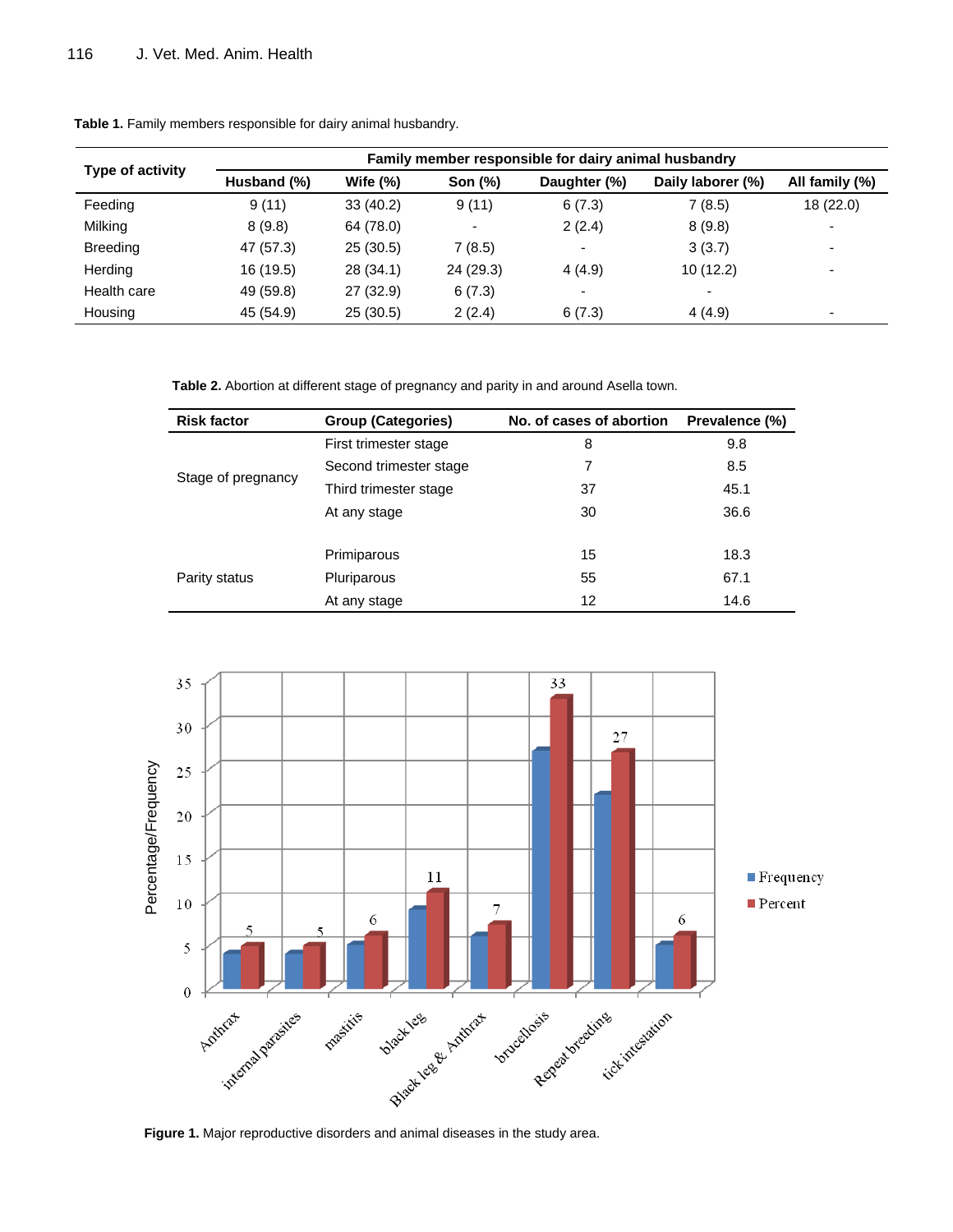| Type of activity | Family member responsible for dairy animal husbandry |            |                          |                          |                          |                          |
|------------------|------------------------------------------------------|------------|--------------------------|--------------------------|--------------------------|--------------------------|
|                  | Husband (%)                                          | Wife $(%)$ | Son (%)                  | Daughter (%)             | Daily laborer (%)        | All family (%)           |
| Feeding          | 9(11)                                                | 33(40.2)   | 9(11)                    | 6(7.3)                   | 7(8.5)                   | 18(22.0)                 |
| Milking          | 8(9.8)                                               | 64 (78.0)  | $\overline{\phantom{a}}$ | 2(2.4)                   | 8(9.8)                   | ٠                        |
| <b>Breeding</b>  | 47 (57.3)                                            | 25(30.5)   | 7(8.5)                   | $\overline{\phantom{0}}$ | 3(3.7)                   | $\overline{\phantom{a}}$ |
| Herding          | 16 (19.5)                                            | 28(34.1)   | 24(29.3)                 | 4(4.9)                   | 10(12.2)                 | $\overline{\phantom{a}}$ |
| Health care      | 49 (59.8)                                            | 27 (32.9)  | 6(7.3)                   | $\overline{\phantom{0}}$ | $\overline{\phantom{0}}$ |                          |
| Housing          | 45 (54.9)                                            | 25(30.5)   | 2(2.4)                   | 6(7.3)                   | 4(4.9)                   | $\overline{\phantom{0}}$ |

**Table 1.** Family members responsible for dairy animal husbandry.

**Table 2.** Abortion at different stage of pregnancy and parity in and around Asella town.

| <b>Risk factor</b> | <b>Group (Categories)</b> | No. of cases of abortion | Prevalence (%) |
|--------------------|---------------------------|--------------------------|----------------|
|                    | First trimester stage     | 8                        | 9.8            |
|                    | Second trimester stage    | 7                        | 8.5            |
| Stage of pregnancy | Third trimester stage     | 37                       | 45.1           |
|                    | At any stage              | 30                       | 36.6           |
|                    | Primiparous               | 15                       | 18.3           |
| Parity status      | Pluriparous               | 55                       | 67.1           |
|                    | At any stage              | 12                       | 14.6           |



**Figure 1.** Major reproductive disorders and animal diseases in the study area.